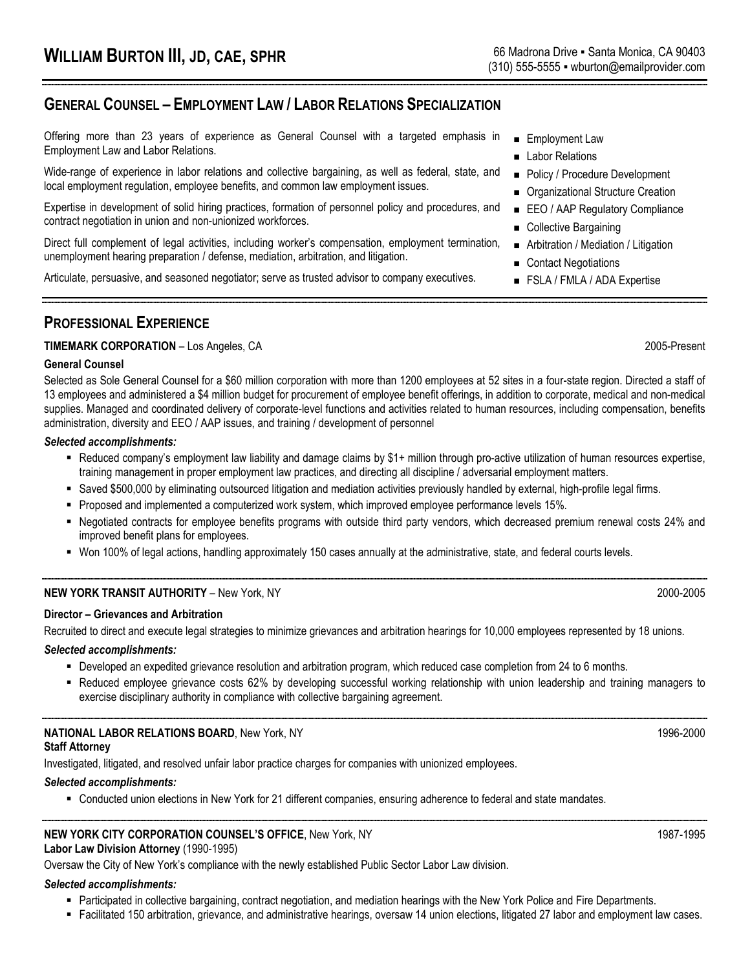# **GENERAL COUNSEL – EMPLOYMENT LAW / LABOR RELATIONS SPECIALIZATION**

Offering more than 23 years of experience as General Counsel with a targeted emphasis in Employment Law and Labor Relations.

Wide-range of experience in labor relations and collective bargaining, as well as federal, state, and local employment regulation, employee benefits, and common law employment issues.

Expertise in development of solid hiring practices, formation of personnel policy and procedures, and contract negotiation in union and non-unionized workforces.

Direct full complement of legal activities, including worker's compensation, employment termination, unemployment hearing preparation / defense, mediation, arbitration, and litigation.

Articulate, persuasive, and seasoned negotiator; serve as trusted advisor to company executives.

### **Employment Law**

- **Labor Relations**
- **Policy / Procedure Development**
- Organizational Structure Creation
- EEO / AAP Regulatory Compliance
- Collective Bargaining
- Arbitration / Mediation / Litigation
- Contact Negotiations
- **FSLA / FMLA / ADA Expertise**

## **PROFESSIONAL EXPERIENCE**

#### **TIMEMARK CORPORATION** – Los Angeles, CA 2005-Present

#### **General Counsel**

Selected as Sole General Counsel for a \$60 million corporation with more than 1200 employees at 52 sites in a four-state region. Directed a staff of 13 employees and administered a \$4 million budget for procurement of employee benefit offerings, in addition to corporate, medical and non-medical supplies. Managed and coordinated delivery of corporate-level functions and activities related to human resources, including compensation, benefits administration, diversity and EEO / AAP issues, and training / development of personnel

#### *Selected accomplishments:*

- " Reduced company's employment law liability and damage claims by \$1+ million through pro-active utilization of human resources expertise, training management in proper employment law practices, and directing all discipline / adversarial employment matters.
- " Saved \$500,000 by eliminating outsourced litigation and mediation activities previously handled by external, high-profile legal firms.
- Proposed and implemented a computerized work system, which improved employee performance levels 15%.
- Negotiated contracts for employee benefits programs with outside third party vendors, which decreased premium renewal costs 24% and improved benefit plans for employees.
- Won 100% of legal actions, handling approximately 150 cases annually at the administrative, state, and federal courts levels.

#### **NEW YORK TRANSIT AUTHORITY** – New York, NY 2000-2005

#### **Director – Grievances and Arbitration**

Recruited to direct and execute legal strategies to minimize grievances and arbitration hearings for 10,000 employees represented by 18 unions.

#### *Selected accomplishments:*

- Developed an expedited grievance resolution and arbitration program, which reduced case completion from 24 to 6 months.
- Reduced employee grievance costs 62% by developing successful working relationship with union leadership and training managers to exercise disciplinary authority in compliance with collective bargaining agreement.

## **NATIONAL LABOR RELATIONS BOARD**, New York, NY 1996-2000 1996-2000

#### **Staff Attorney**

Investigated, litigated, and resolved unfair labor practice charges for companies with unionized employees.

#### *Selected accomplishments:*

- Conducted union elections in New York for 21 different companies, ensuring adherence to federal and state mandates.

# **NEW YORK CITY CORPORATION COUNSEL'S OFFICE**, New York, NY 1987-1995

## **Labor Law Division Attorney** (1990-1995)

Oversaw the City of New York's compliance with the newly established Public Sector Labor Law division.

## *Selected accomplishments:*

- " Participated in collective bargaining, contract negotiation, and mediation hearings with the New York Police and Fire Departments.
- Facilitated 150 arbitration, grievance, and administrative hearings, oversaw 14 union elections, litigated 27 labor and employment law cases.